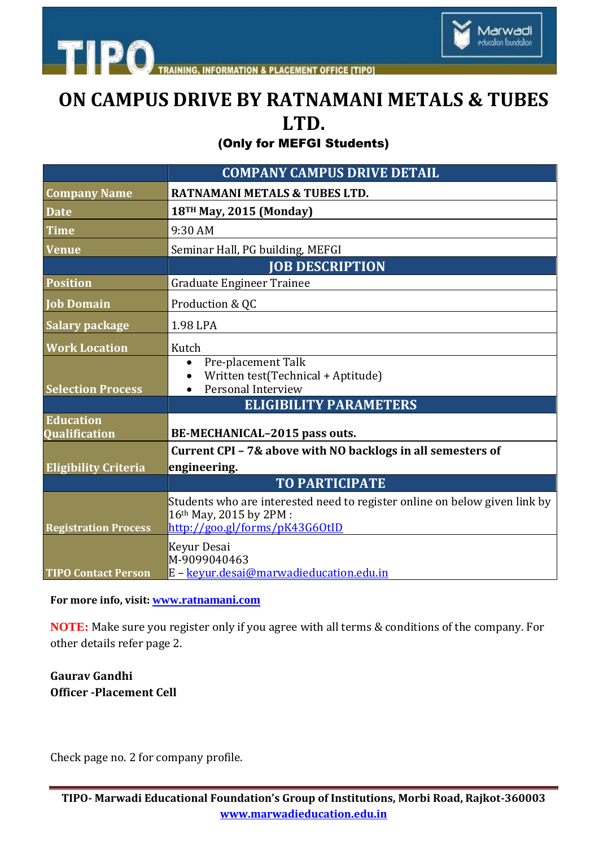



## **ON CAMPUS DRIVE BY RATNAMANI METALS & TUBES LTD.**

(Only for MEFGI Students)

|                                   | <b>COMPANY CAMPUS DRIVE DETAIL</b>                                                                                                      |
|-----------------------------------|-----------------------------------------------------------------------------------------------------------------------------------------|
| <b>Company Name</b>               | <b>RATNAMANI METALS &amp; TUBES LTD.</b>                                                                                                |
| <b>Date</b>                       | 18 <sup>TH</sup> May, 2015 (Monday)                                                                                                     |
| <b>Time</b>                       | 9:30 AM                                                                                                                                 |
| <b>Venue</b>                      | Seminar Hall, PG building, MEFGI                                                                                                        |
|                                   | <b>JOB DESCRIPTION</b>                                                                                                                  |
| <b>Position</b>                   | Graduate Engineer Trainee                                                                                                               |
| <b>Job Domain</b>                 | Production & QC                                                                                                                         |
| <b>Salary package</b>             | 1.98 LPA                                                                                                                                |
| <b>Work Location</b>              | Kutch                                                                                                                                   |
| <b>Selection Process</b>          | Pre-placement Talk<br>$\bullet$<br>Written test(Technical + Aptitude)<br>Personal Interview<br>$\bullet$                                |
|                                   | <b>ELIGIBILITY PARAMETERS</b>                                                                                                           |
| <b>Education</b><br>Qualification | BE-MECHANICAL-2015 pass outs.                                                                                                           |
|                                   | Current CPI - 7& above with NO backlogs in all semesters of                                                                             |
| <b>Eligibility Criteria</b>       | engineering.                                                                                                                            |
|                                   | <b>TO PARTICIPATE</b>                                                                                                                   |
| <b>Registration Process</b>       | Students who are interested need to register online on below given link by<br>16th May, 2015 by 2PM :<br>http://goo.gl/forms/pK43G60tID |
| <b>TIPO Contact Person</b>        | Keyur Desai<br>M-9099040463<br>E - keyur.desai@marwadieducation.edu.in                                                                  |

## **For more info, visit: [www.ratnamani.com](file:///C:\Users\Administrator\Desktop\www.ratnamani.com)**

**NOTE:** Make sure you register only if you agree with all terms & conditions of the company. For other details refer page 2.

## **Gaurav Gandhi Officer -Placement Cell**

Check page no. 2 for company profile.